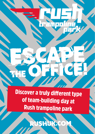Discover a truly different type of team-building day at Rush trampoline park

ПĪ

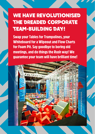### WE HAVE REVOLUTIONISED the dreaded corporate team-building day!

Swap your Tables for Trampolines, your Whiteboard for a Wipeout and Flow Charts for Foam Pit. Say goodbye to boring old meetings, and do things the Rush way! We guarantee your team will have brilliant time!

*JSHBIRMII*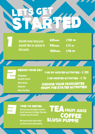# LETS GET STARTED

**Decide how long you would like to spend in the park.**

| <b>60MINS</b>  | $£1O-pP$ |
|----------------|----------|
| <b>90MINS</b>  | $£13$ pp |
| <b>120MINS</b> | $£16$ pp |

 $\overline{H}$ 

#### DESIGN YOUR DAY

- **Dodgeball Assault Course Rush Arena Wipeout**
- **Beat The Boss**

#### 1 HR OF HOSTED ACTIVITIES - £ 20

2 HR HOSTED ACTIVITIES - £ 35

choose YOUR FAVOURITES FROM THE STATED ACTIVITIES!

#### TIME TO REFUEL

**Our hot and cold buffet selection starts from just £4.50pp. This also includes your first drink.**

**We have barista style coffee on-site for post-event drinks.** SLUSH PUPPIE TEA FRUIT JUICE **COFFEE**